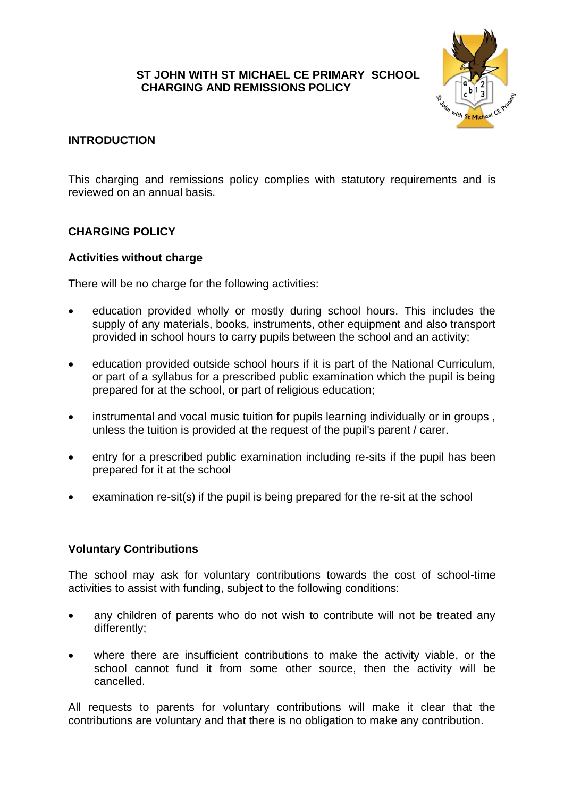### **ST JOHN WITH ST MICHAEL CE PRIMARY SCHOOL CHARGING AND REMISSIONS POLICY**



## **INTRODUCTION**

This charging and remissions policy complies with statutory requirements and is reviewed on an annual basis.

### **CHARGING POLICY**

#### **Activities without charge**

There will be no charge for the following activities:

- education provided wholly or mostly during school hours. This includes the supply of any materials, books, instruments, other equipment and also transport provided in school hours to carry pupils between the school and an activity;
- education provided outside school hours if it is part of the National Curriculum, or part of a syllabus for a prescribed public examination which the pupil is being prepared for at the school, or part of religious education;
- instrumental and vocal music tuition for pupils learning individually or in groups, unless the tuition is provided at the request of the pupil's parent / carer.
- entry for a prescribed public examination including re-sits if the pupil has been prepared for it at the school
- examination re-sit(s) if the pupil is being prepared for the re-sit at the school

### **Voluntary Contributions**

The school may ask for voluntary contributions towards the cost of school-time activities to assist with funding, subject to the following conditions:

- any children of parents who do not wish to contribute will not be treated any differently;
- where there are insufficient contributions to make the activity viable, or the school cannot fund it from some other source, then the activity will be cancelled.

All requests to parents for voluntary contributions will make it clear that the contributions are voluntary and that there is no obligation to make any contribution.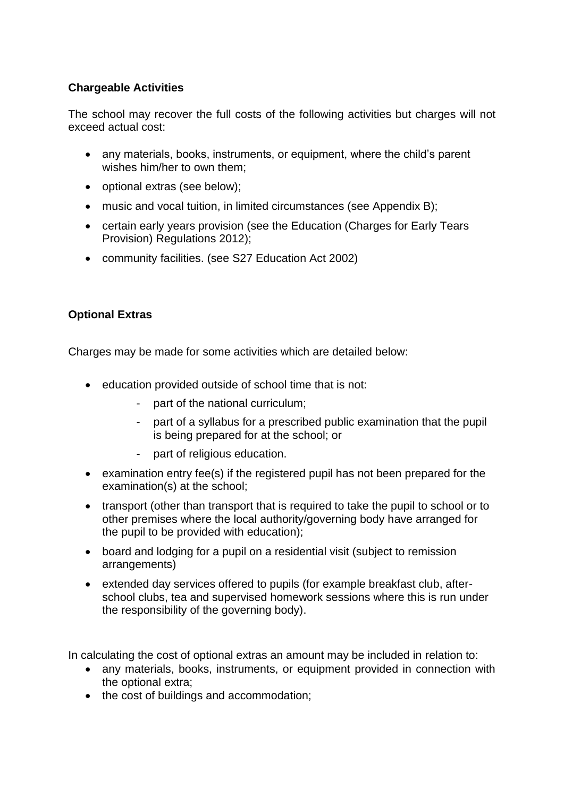## **Chargeable Activities**

The school may recover the full costs of the following activities but charges will not exceed actual cost:

- any materials, books, instruments, or equipment, where the child's parent wishes him/her to own them;
- optional extras (see below);
- music and vocal tuition, in limited circumstances (see Appendix B);
- certain early years provision (see the Education (Charges for Early Tears Provision) Regulations 2012);
- community facilities. (see S27 Education Act 2002)

# **Optional Extras**

Charges may be made for some activities which are detailed below:

- education provided outside of school time that is not:
	- part of the national curriculum;
	- part of a syllabus for a prescribed public examination that the pupil is being prepared for at the school; or
	- part of religious education.
- examination entry fee(s) if the registered pupil has not been prepared for the examination(s) at the school;
- transport (other than transport that is required to take the pupil to school or to other premises where the local authority/governing body have arranged for the pupil to be provided with education);
- board and lodging for a pupil on a residential visit (subject to remission arrangements)
- extended day services offered to pupils (for example breakfast club, afterschool clubs, tea and supervised homework sessions where this is run under the responsibility of the governing body).

In calculating the cost of optional extras an amount may be included in relation to:

- any materials, books, instruments, or equipment provided in connection with the optional extra;
- the cost of buildings and accommodation;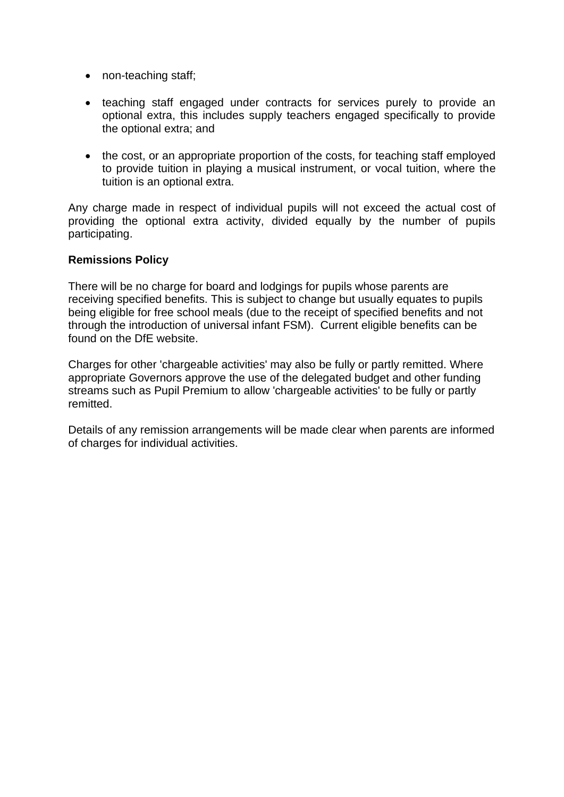- non-teaching staff;
- teaching staff engaged under contracts for services purely to provide an optional extra, this includes supply teachers engaged specifically to provide the optional extra; and
- the cost, or an appropriate proportion of the costs, for teaching staff employed to provide tuition in playing a musical instrument, or vocal tuition, where the tuition is an optional extra.

Any charge made in respect of individual pupils will not exceed the actual cost of providing the optional extra activity, divided equally by the number of pupils participating.

#### **Remissions Policy**

There will be no charge for board and lodgings for pupils whose parents are receiving specified benefits. This is subject to change but usually equates to pupils being eligible for free school meals (due to the receipt of specified benefits and not through the introduction of universal infant FSM). Current eligible benefits can be found on the DfE website.

Charges for other 'chargeable activities' may also be fully or partly remitted. Where appropriate Governors approve the use of the delegated budget and other funding streams such as Pupil Premium to allow 'chargeable activities' to be fully or partly remitted.

Details of any remission arrangements will be made clear when parents are informed of charges for individual activities.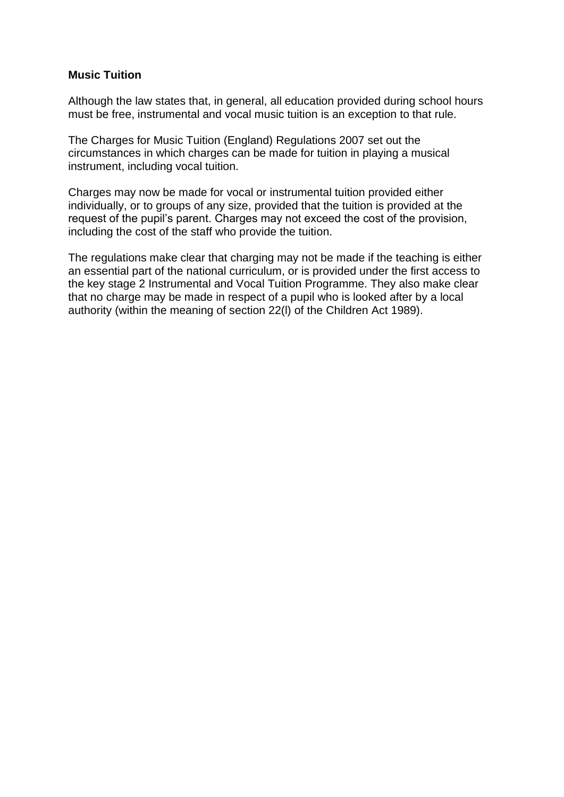#### **Music Tuition**

Although the law states that, in general, all education provided during school hours must be free, instrumental and vocal music tuition is an exception to that rule.

The Charges for Music Tuition (England) Regulations 2007 set out the circumstances in which charges can be made for tuition in playing a musical instrument, including vocal tuition.

Charges may now be made for vocal or instrumental tuition provided either individually, or to groups of any size, provided that the tuition is provided at the request of the pupil's parent. Charges may not exceed the cost of the provision, including the cost of the staff who provide the tuition.

The regulations make clear that charging may not be made if the teaching is either an essential part of the national curriculum, or is provided under the first access to the key stage 2 Instrumental and Vocal Tuition Programme. They also make clear that no charge may be made in respect of a pupil who is looked after by a local authority (within the meaning of section 22(l) of the Children Act 1989).